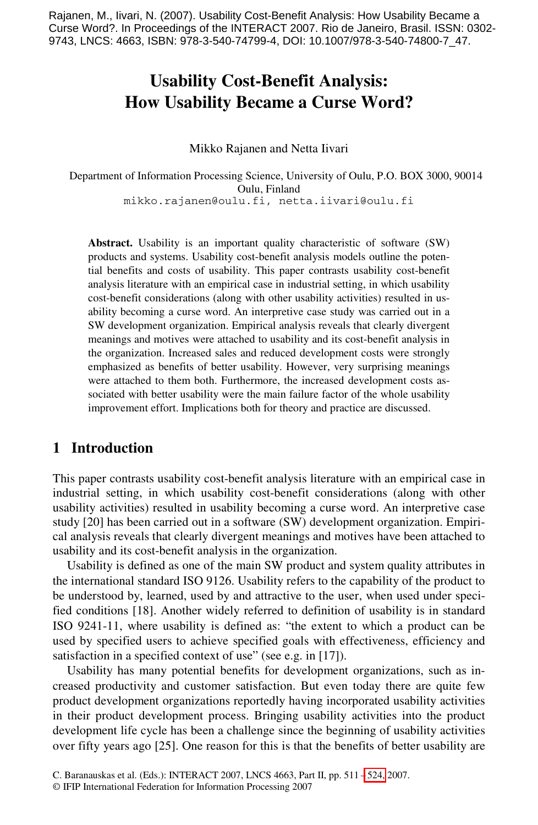Rajanen, M., Iivari, N. (2007). Usability Cost-Benefit Analysis: How Usability Became a Curse Word?. In Proceedings of the INTERACT 2007. Rio de Janeiro, Brasil. ISSN: 0302- 9743, LNCS: 4663, ISBN: 978-3-540-74799-4, DOI: 10.1007/978-3-540-74800-7\_47.

# **Usability Cost-Benefit Analysis: How Usability Became a Curse Word?**

Mikko Rajanen and Netta Iivari

Department of Information Processing Science, University of Oulu, P.O. BOX 3000, 90014 Oulu, Finland mikko.rajanen@oulu.fi, netta.iivari@oulu.fi

**Abstract.** Usability is an important quality characteristic of software (SW) products and systems. Usability cost-benefit analysis models outline the potential benefits and costs of usability. This paper contrasts usability cost-benefit analysis literature with an empirical case in industrial setting, in which usability cost-benefit considerations (along with other usability activities) resulted in usability becoming a curse word. An interpretive case study was carried out in a SW development organization. Empirical analysis reveals that clearly divergent meanings and motives were attached to usability and its cost-benefit analysis in the organization. Increased sales and reduced development costs were strongly emphasized as benefits of better usability. However, very surprising meanings were attached to them both. Furthermore, the increased development costs associated with better usability were the main failure factor of the whole usability improvement effort. Implications both for theory and practice are discussed.

### **1 Introduction**

This paper contrasts usability cost-benefit analysis literature with an empirical case in industrial setting, in which usability cost-benefit considerations (along with other usability activities) resulted in usability becoming a curse word. An interpretive case study [20] has been carried out in a software (SW) development organization. Empirical analysis reveals that clearly divergent meanings and motives have been attached to usability and its cost-benefit analysis in the organization.

Usability is defined as one of the main SW product and system quality attributes in the international standard ISO 9126. Usability refers to the capability of the product to be understood by, learned, used by and attractive to the user, when used under specified conditions [18]. Another widely referred to definition of usability is in standard ISO 9241-11, where usability is defined as: "the extent to which a product can be used by specified users to achieve specified goals with effectiveness, efficiency and satisfaction in a specified context of use" [\(see](#page-13-0) e.g. in [17]).

Usability has many potential benefits for development organizations, such as increased productivity and customer satisfaction. But even today there are quite few product development organizations reportedly having incorporated usability activities in their product development process. Bringing usability activities into the product development life cycle has been a challenge since the beginning of usability activities over fifty years ago [25]. One reason for this is that the benefits of better usability are

C. Baranauskas et al. (Eds.): INTERACT 2007, LNCS 4663, Part II, pp. 511 – 524, 2007.

<sup>©</sup> IFIP International Federation for Information Processing 2007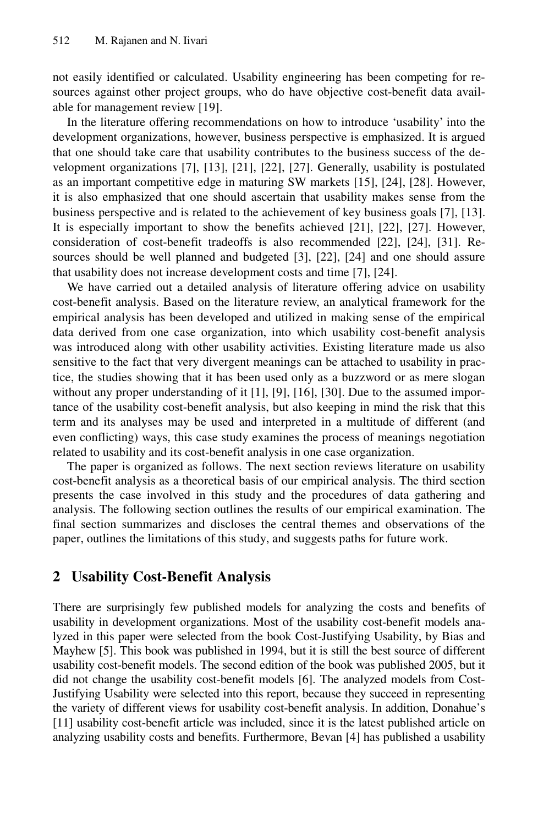not easily identified or calculated. Usability engineering has been competing for resources against other project groups, who do have objective cost-benefit data available for management review [19].

In the literature offering recommendations on how to introduce 'usability' into the development organizations, however, business perspective is emphasized. It is argued that one should take care that usability contributes to the business success of the development organizations [7], [13], [21], [22], [27]. Generally, usability is postulated as an important competitive edge in maturing SW markets [15], [24], [28]. However, it is also emphasized that one should ascertain that usability makes sense from the business perspective and is related to the achievement of key business goals [7], [13]. It is especially important to show the benefits achieved [21], [22], [27]. However, consideration of cost-benefit tradeoffs is also recommended [22], [24], [31]. Resources should be well planned and budgeted [3], [22], [24] and one should assure that usability does not increase development costs and time [7], [24].

We have carried out a detailed analysis of literature offering advice on usability cost-benefit analysis. Based on the literature review, an analytical framework for the empirical analysis has been developed and utilized in making sense of the empirical data derived from one case organization, into which usability cost-benefit analysis was introduced along with other usability activities. Existing literature made us also sensitive to the fact that very divergent meanings can be attached to usability in practice, the studies showing that it has been used only as a buzzword or as mere slogan without any proper understanding of it [1], [9], [16], [30]. Due to the assumed importance of the usability cost-benefit analysis, but also keeping in mind the risk that this term and its analyses may be used and interpreted in a multitude of different (and even conflicting) ways, this case study examines the process of meanings negotiation related to usability and its cost-benefit analysis in one case organization.

The paper is organized as follows. The next section reviews literature on usability cost-benefit analysis as a theoretical basis of our empirical analysis. The third section presents the case involved in this study and the procedures of data gathering and analysis. The following section outlines the results of our empirical examination. The final section summarizes and discloses the central themes and observations of the paper, outlines the limitations of this study, and suggests paths for future work.

### **2 Usability Cost-Benefit Analysis**

There are surprisingly few published models for analyzing the costs and benefits of usability in development organizations. Most of the usability cost-benefit models analyzed in this paper were selected from the book Cost-Justifying Usability, by Bias and Mayhew [5]. This book was published in 1994, but it is still the best source of different usability cost-benefit models. The second edition of the book was published 2005, but it did not change the usability cost-benefit models [6]. The analyzed models from Cost-Justifying Usability were selected into this report, because they succeed in representing the variety of different views for usability cost-benefit analysis. In addition, Donahue's [11] usability cost-benefit article was included, since it is the latest published article on analyzing usability costs and benefits. Furthermore, Bevan [4] has published a usability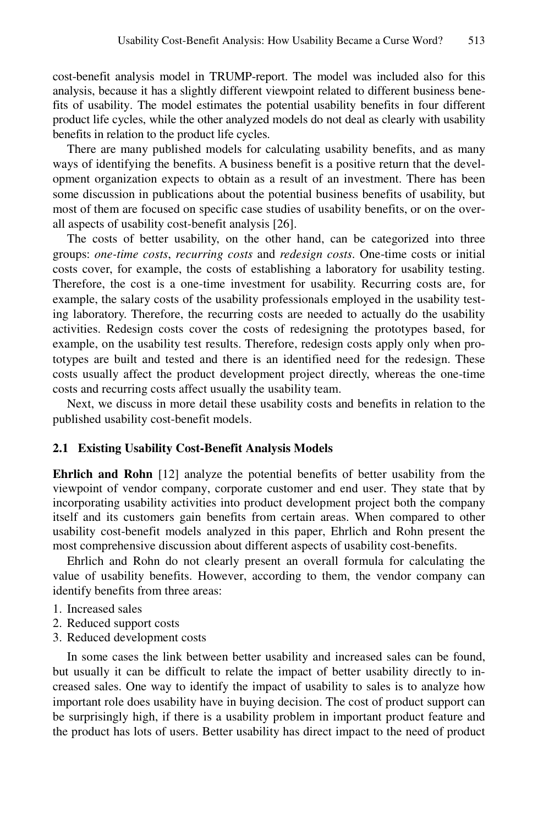cost-benefit analysis model in TRUMP-report. The model was included also for this analysis, because it has a slightly different viewpoint related to different business benefits of usability. The model estimates the potential usability benefits in four different product life cycles, while the other analyzed models do not deal as clearly with usability benefits in relation to the product life cycles.

There are many published models for calculating usability benefits, and as many ways of identifying the benefits. A business benefit is a positive return that the development organization expects to obtain as a result of an investment. There has been some discussion in publications about the potential business benefits of usability, but most of them are focused on specific case studies of usability benefits, or on the overall aspects of usability cost-benefit analysis [26].

The costs of better usability, on the other hand, can be categorized into three groups: *one-time costs*, *recurring costs* and *redesign costs*. One-time costs or initial costs cover, for example, the costs of establishing a laboratory for usability testing. Therefore, the cost is a one-time investment for usability. Recurring costs are, for example, the salary costs of the usability professionals employed in the usability testing laboratory. Therefore, the recurring costs are needed to actually do the usability activities. Redesign costs cover the costs of redesigning the prototypes based, for example, on the usability test results. Therefore, redesign costs apply only when prototypes are built and tested and there is an identified need for the redesign. These costs usually affect the product development project directly, whereas the one-time costs and recurring costs affect usually the usability team.

Next, we discuss in more detail these usability costs and benefits in relation to the published usability cost-benefit models.

#### **2.1 Existing Usability Cost-Benefit Analysis Models**

**Ehrlich and Rohn** [12] analyze the potential benefits of better usability from the viewpoint of vendor company, corporate customer and end user. They state that by incorporating usability activities into product development project both the company itself and its customers gain benefits from certain areas. When compared to other usability cost-benefit models analyzed in this paper, Ehrlich and Rohn present the most comprehensive discussion about different aspects of usability cost-benefits.

Ehrlich and Rohn do not clearly present an overall formula for calculating the value of usability benefits. However, according to them, the vendor company can identify benefits from three areas:

- 1. Increased sales
- 2. Reduced support costs
- 3. Reduced development costs

In some cases the link between better usability and increased sales can be found, but usually it can be difficult to relate the impact of better usability directly to increased sales. One way to identify the impact of usability to sales is to analyze how important role does usability have in buying decision. The cost of product support can be surprisingly high, if there is a usability problem in important product feature and the product has lots of users. Better usability has direct impact to the need of product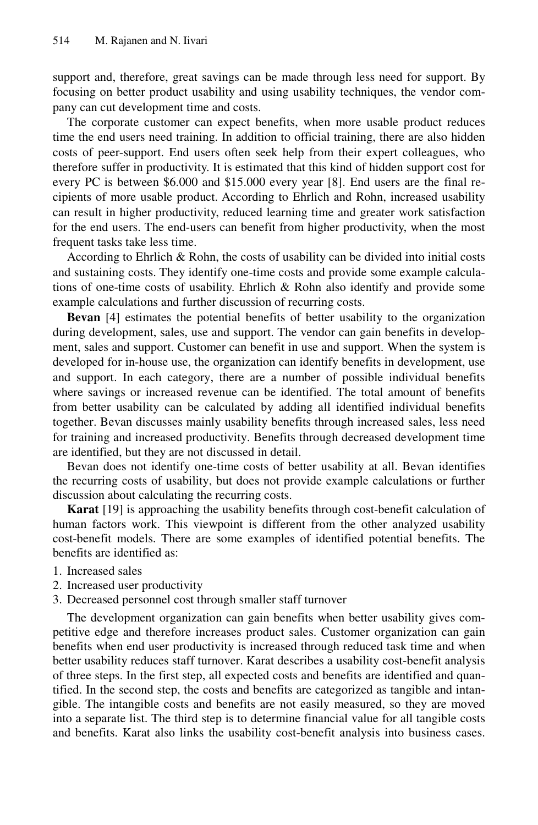support and, therefore, great savings can be made through less need for support. By focusing on better product usability and using usability techniques, the vendor company can cut development time and costs.

The corporate customer can expect benefits, when more usable product reduces time the end users need training. In addition to official training, there are also hidden costs of peer-support. End users often seek help from their expert colleagues, who therefore suffer in productivity. It is estimated that this kind of hidden support cost for every PC is between \$6.000 and \$15.000 every year [8]. End users are the final recipients of more usable product. According to Ehrlich and Rohn, increased usability can result in higher productivity, reduced learning time and greater work satisfaction for the end users. The end-users can benefit from higher productivity, when the most frequent tasks take less time.

According to Ehrlich & Rohn, the costs of usability can be divided into initial costs and sustaining costs. They identify one-time costs and provide some example calculations of one-time costs of usability. Ehrlich & Rohn also identify and provide some example calculations and further discussion of recurring costs.

**Bevan** [4] estimates the potential benefits of better usability to the organization during development, sales, use and support. The vendor can gain benefits in development, sales and support. Customer can benefit in use and support. When the system is developed for in-house use, the organization can identify benefits in development, use and support. In each category, there are a number of possible individual benefits where savings or increased revenue can be identified. The total amount of benefits from better usability can be calculated by adding all identified individual benefits together. Bevan discusses mainly usability benefits through increased sales, less need for training and increased productivity. Benefits through decreased development time are identified, but they are not discussed in detail.

Bevan does not identify one-time costs of better usability at all. Bevan identifies the recurring costs of usability, but does not provide example calculations or further discussion about calculating the recurring costs.

**Karat** [19] is approaching the usability benefits through cost-benefit calculation of human factors work. This viewpoint is different from the other analyzed usability cost-benefit models. There are some examples of identified potential benefits. The benefits are identified as:

- 1. Increased sales
- 2. Increased user productivity
- 3. Decreased personnel cost through smaller staff turnover

The development organization can gain benefits when better usability gives competitive edge and therefore increases product sales. Customer organization can gain benefits when end user productivity is increased through reduced task time and when better usability reduces staff turnover. Karat describes a usability cost-benefit analysis of three steps. In the first step, all expected costs and benefits are identified and quantified. In the second step, the costs and benefits are categorized as tangible and intangible. The intangible costs and benefits are not easily measured, so they are moved into a separate list. The third step is to determine financial value for all tangible costs and benefits. Karat also links the usability cost-benefit analysis into business cases.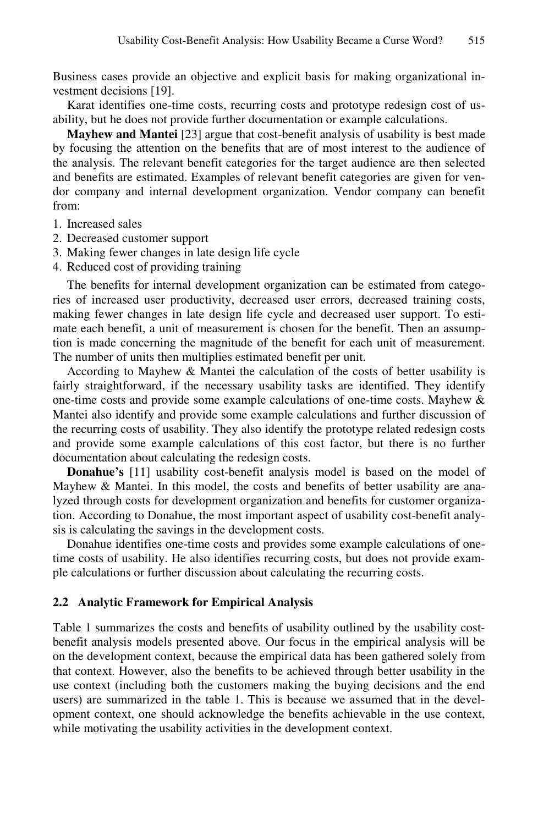Business cases provide an objective and explicit basis for making organizational investment decisions [19].

Karat identifies one-time costs, recurring costs and prototype redesign cost of usability, but he does not provide further documentation or example calculations.

**Mayhew and Mantei** [23] argue that cost-benefit analysis of usability is best made by focusing the attention on the benefits that are of most interest to the audience of the analysis. The relevant benefit categories for the target audience are then selected and benefits are estimated. Examples of relevant benefit categories are given for vendor company and internal development organization. Vendor company can benefit from:

- 1. Increased sales
- 2. Decreased customer support
- 3. Making fewer changes in late design life cycle
- 4. Reduced cost of providing training

The benefits for internal development organization can be estimated from categories of increased user productivity, decreased user errors, decreased training costs, making fewer changes in late design life cycle and decreased user support. To estimate each benefit, a unit of measurement is chosen for the benefit. Then an assumption is made concerning the magnitude of the benefit for each unit of measurement. The number of units then multiplies estimated benefit per unit.

According to Mayhew & Mantei the calculation of the costs of better usability is fairly straightforward, if the necessary usability tasks are identified. They identify one-time costs and provide some example calculations of one-time costs. Mayhew & Mantei also identify and provide some example calculations and further discussion of the recurring costs of usability. They also identify the prototype related redesign costs and provide some example calculations of this cost factor, but there is no further documentation about calculating the redesign costs.

**Donahue's** [11] usability cost-benefit analysis model is based on the model of Mayhew & Mantei. In this model, the costs and benefits of better usability are analyzed through costs for development organization and benefits for customer organization. According to Donahue, the most important aspect of usability cost-benefit analysis is calculating the savings in the development costs.

Donahue identifies one-time costs and provides some example calculations of onetime costs of usability. He also identifies recurring costs, but does not provide example calculations or further discussion about calculating the recurring costs.

#### **2.2 Analytic Framework for Empirical Analysis**

Table 1 summarizes the costs and benefits of usability outlined by the usability costbenefit analysis models presented above. Our focus in the empirical analysis will be on the development context, because the empirical data has been gathered solely from that context. However, also the benefits to be achieved through better usability in the use context (including both the customers making the buying decisions and the end users) are summarized in the table 1. This is because we assumed that in the development context, one should acknowledge the benefits achievable in the use context, while motivating the usability activities in the development context.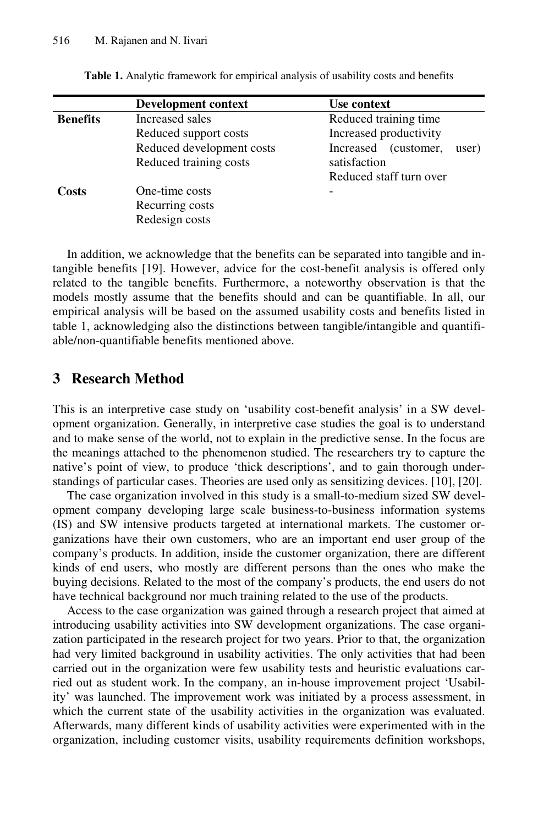|                 | Development context       | Use context                   |
|-----------------|---------------------------|-------------------------------|
| <b>Benefits</b> | Increased sales           | Reduced training time         |
|                 | Reduced support costs     | Increased productivity        |
|                 | Reduced development costs | Increased (customer,<br>user) |
|                 | Reduced training costs    | satisfaction                  |
|                 |                           | Reduced staff turn over       |
| Costs           | One-time costs            | -                             |
|                 | Recurring costs           |                               |
|                 | Redesign costs            |                               |

**Table 1.** Analytic framework for empirical analysis of usability costs and benefits

In addition, we acknowledge that the benefits can be separated into tangible and intangible benefits [19]. However, advice for the cost-benefit analysis is offered only related to the tangible benefits. Furthermore, a noteworthy observation is that the models mostly assume that the benefits should and can be quantifiable. In all, our empirical analysis will be based on the assumed usability costs and benefits listed in table 1, acknowledging also the distinctions between tangible/intangible and quantifiable/non-quantifiable benefits mentioned above.

### **3 Research Method**

This is an interpretive case study on 'usability cost-benefit analysis' in a SW development organization. Generally, in interpretive case studies the goal is to understand and to make sense of the world, not to explain in the predictive sense. In the focus are the meanings attached to the phenomenon studied. The researchers try to capture the native's point of view, to produce 'thick descriptions', and to gain thorough understandings of particular cases. Theories are used only as sensitizing devices. [10], [20].

The case organization involved in this study is a small-to-medium sized SW development company developing large scale business-to-business information systems (IS) and SW intensive products targeted at international markets. The customer organizations have their own customers, who are an important end user group of the company's products. In addition, inside the customer organization, there are different kinds of end users, who mostly are different persons than the ones who make the buying decisions. Related to the most of the company's products, the end users do not have technical background nor much training related to the use of the products.

Access to the case organization was gained through a research project that aimed at introducing usability activities into SW development organizations. The case organization participated in the research project for two years. Prior to that, the organization had very limited background in usability activities. The only activities that had been carried out in the organization were few usability tests and heuristic evaluations carried out as student work. In the company, an in-house improvement project 'Usability' was launched. The improvement work was initiated by a process assessment, in which the current state of the usability activities in the organization was evaluated. Afterwards, many different kinds of usability activities were experimented with in the organization, including customer visits, usability requirements definition workshops,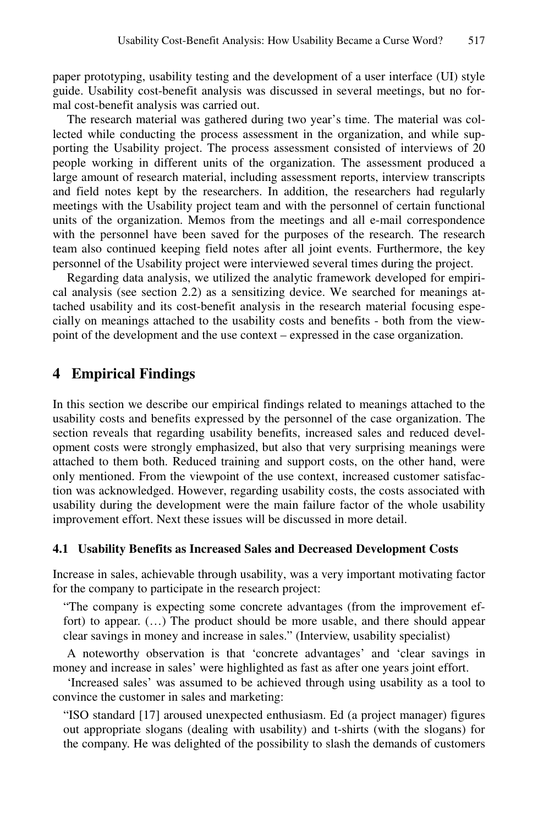paper prototyping, usability testing and the development of a user interface (UI) style guide. Usability cost-benefit analysis was discussed in several meetings, but no formal cost-benefit analysis was carried out.

The research material was gathered during two year's time. The material was collected while conducting the process assessment in the organization, and while supporting the Usability project. The process assessment consisted of interviews of 20 people working in different units of the organization. The assessment produced a large amount of research material, including assessment reports, interview transcripts and field notes kept by the researchers. In addition, the researchers had regularly meetings with the Usability project team and with the personnel of certain functional units of the organization. Memos from the meetings and all e-mail correspondence with the personnel have been saved for the purposes of the research. The research team also continued keeping field notes after all joint events. Furthermore, the key personnel of the Usability project were interviewed several times during the project.

Regarding data analysis, we utilized the analytic framework developed for empirical analysis (see section 2.2) as a sensitizing device. We searched for meanings attached usability and its cost-benefit analysis in the research material focusing especially on meanings attached to the usability costs and benefits - both from the viewpoint of the development and the use context – expressed in the case organization.

### **4 Empirical Findings**

In this section we describe our empirical findings related to meanings attached to the usability costs and benefits expressed by the personnel of the case organization. The section reveals that regarding usability benefits, increased sales and reduced development costs were strongly emphasized, but also that very surprising meanings were attached to them both. Reduced training and support costs, on the other hand, were only mentioned. From the viewpoint of the use context, increased customer satisfaction was acknowledged. However, regarding usability costs, the costs associated with usability during the development were the main failure factor of the whole usability improvement effort. Next these issues will be discussed in more detail.

#### **4.1 Usability Benefits as Increased Sales and Decreased Development Costs**

Increase in sales, achievable through usability, was a very important motivating factor for the company to participate in the research project:

"The company is expecting some concrete advantages (from the improvement effort) to appear. (…) The product should be more usable, and there should appear clear savings in money and increase in sales." (Interview, usability specialist)

A noteworthy observation is that 'concrete advantages' and 'clear savings in money and increase in sales' were highlighted as fast as after one years joint effort.

'Increased sales' was assumed to be achieved through using usability as a tool to convince the customer in sales and marketing:

"ISO standard [17] aroused unexpected enthusiasm. Ed (a project manager) figures out appropriate slogans (dealing with usability) and t-shirts (with the slogans) for the company. He was delighted of the possibility to slash the demands of customers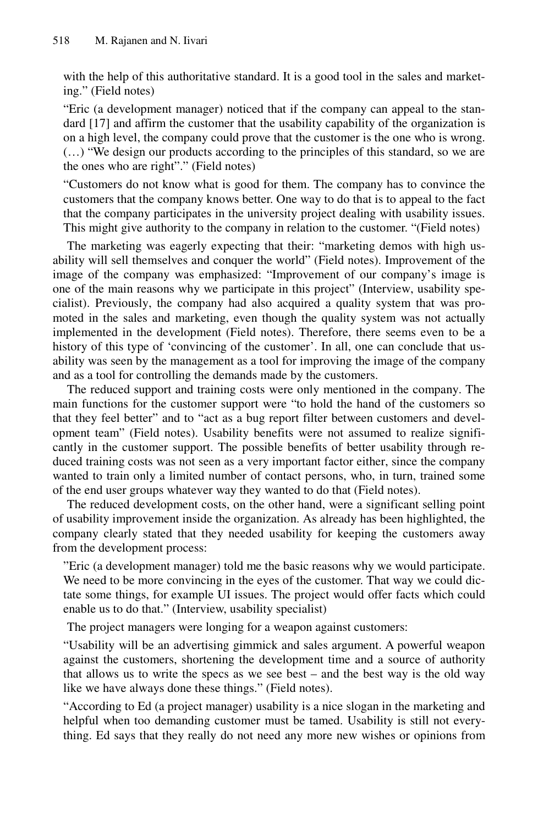with the help of this authoritative standard. It is a good tool in the sales and marketing." (Field notes)

"Eric (a development manager) noticed that if the company can appeal to the standard [17] and affirm the customer that the usability capability of the organization is on a high level, the company could prove that the customer is the one who is wrong. (…) "We design our products according to the principles of this standard, so we are the ones who are right"." (Field notes)

"Customers do not know what is good for them. The company has to convince the customers that the company knows better. One way to do that is to appeal to the fact that the company participates in the university project dealing with usability issues. This might give authority to the company in relation to the customer. "(Field notes)

The marketing was eagerly expecting that their: "marketing demos with high usability will sell themselves and conquer the world" (Field notes). Improvement of the image of the company was emphasized: "Improvement of our company's image is one of the main reasons why we participate in this project" (Interview, usability specialist). Previously, the company had also acquired a quality system that was promoted in the sales and marketing, even though the quality system was not actually implemented in the development (Field notes). Therefore, there seems even to be a history of this type of 'convincing of the customer'. In all, one can conclude that usability was seen by the management as a tool for improving the image of the company and as a tool for controlling the demands made by the customers.

The reduced support and training costs were only mentioned in the company. The main functions for the customer support were "to hold the hand of the customers so that they feel better" and to "act as a bug report filter between customers and development team" (Field notes). Usability benefits were not assumed to realize significantly in the customer support. The possible benefits of better usability through reduced training costs was not seen as a very important factor either, since the company wanted to train only a limited number of contact persons, who, in turn, trained some of the end user groups whatever way they wanted to do that (Field notes).

The reduced development costs, on the other hand, were a significant selling point of usability improvement inside the organization. As already has been highlighted, the company clearly stated that they needed usability for keeping the customers away from the development process:

"Eric (a development manager) told me the basic reasons why we would participate. We need to be more convincing in the eyes of the customer. That way we could dictate some things, for example UI issues. The project would offer facts which could enable us to do that." (Interview, usability specialist)

The project managers were longing for a weapon against customers:

"Usability will be an advertising gimmick and sales argument. A powerful weapon against the customers, shortening the development time and a source of authority that allows us to write the specs as we see best – and the best way is the old way like we have always done these things." (Field notes).

"According to Ed (a project manager) usability is a nice slogan in the marketing and helpful when too demanding customer must be tamed. Usability is still not everything. Ed says that they really do not need any more new wishes or opinions from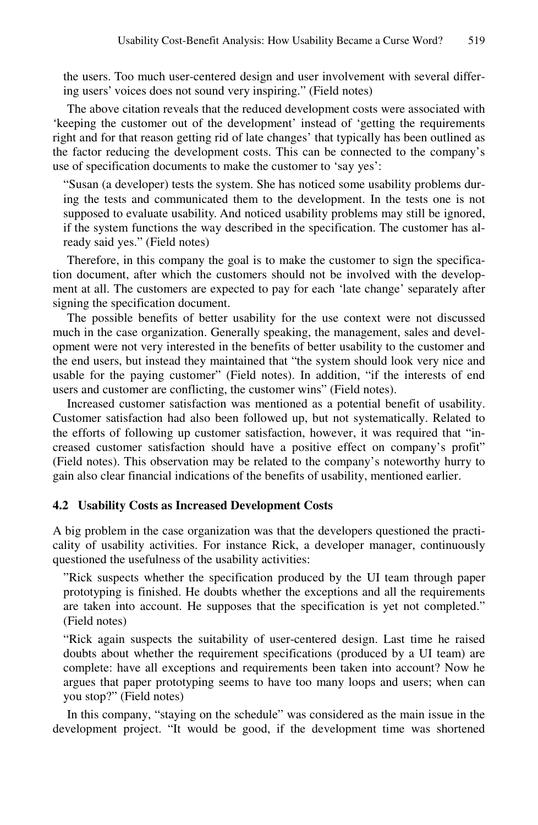the users. Too much user-centered design and user involvement with several differing users' voices does not sound very inspiring." (Field notes)

The above citation reveals that the reduced development costs were associated with 'keeping the customer out of the development' instead of 'getting the requirements right and for that reason getting rid of late changes' that typically has been outlined as the factor reducing the development costs. This can be connected to the company's use of specification documents to make the customer to 'say yes':

"Susan (a developer) tests the system. She has noticed some usability problems during the tests and communicated them to the development. In the tests one is not supposed to evaluate usability. And noticed usability problems may still be ignored, if the system functions the way described in the specification. The customer has already said yes." (Field notes)

Therefore, in this company the goal is to make the customer to sign the specification document, after which the customers should not be involved with the development at all. The customers are expected to pay for each 'late change' separately after signing the specification document.

The possible benefits of better usability for the use context were not discussed much in the case organization. Generally speaking, the management, sales and development were not very interested in the benefits of better usability to the customer and the end users, but instead they maintained that "the system should look very nice and usable for the paying customer" (Field notes). In addition, "if the interests of end users and customer are conflicting, the customer wins" (Field notes).

Increased customer satisfaction was mentioned as a potential benefit of usability. Customer satisfaction had also been followed up, but not systematically. Related to the efforts of following up customer satisfaction, however, it was required that "increased customer satisfaction should have a positive effect on company's profit" (Field notes). This observation may be related to the company's noteworthy hurry to gain also clear financial indications of the benefits of usability, mentioned earlier.

#### **4.2 Usability Costs as Increased Development Costs**

A big problem in the case organization was that the developers questioned the practicality of usability activities. For instance Rick, a developer manager, continuously questioned the usefulness of the usability activities:

"Rick suspects whether the specification produced by the UI team through paper prototyping is finished. He doubts whether the exceptions and all the requirements are taken into account. He supposes that the specification is yet not completed." (Field notes)

"Rick again suspects the suitability of user-centered design. Last time he raised doubts about whether the requirement specifications (produced by a UI team) are complete: have all exceptions and requirements been taken into account? Now he argues that paper prototyping seems to have too many loops and users; when can you stop?" (Field notes)

In this company, "staying on the schedule" was considered as the main issue in the development project. "It would be good, if the development time was shortened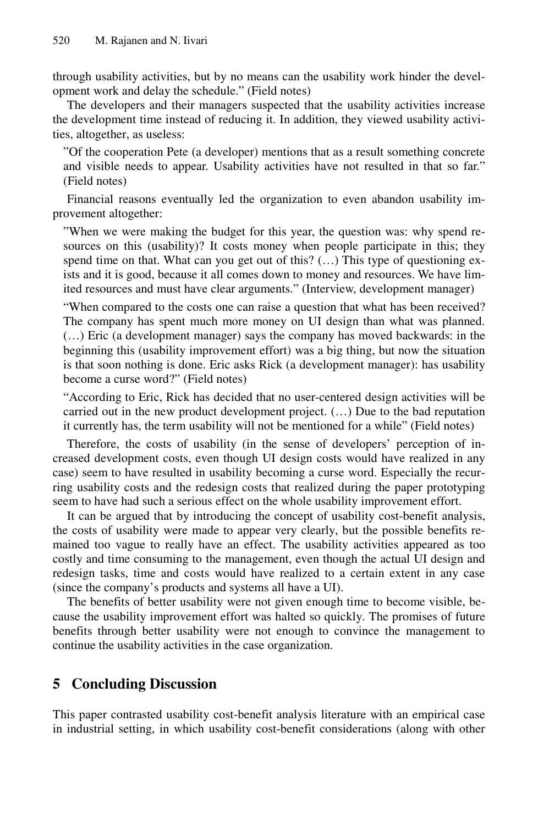through usability activities, but by no means can the usability work hinder the development work and delay the schedule." (Field notes)

The developers and their managers suspected that the usability activities increase the development time instead of reducing it. In addition, they viewed usability activities, altogether, as useless:

"Of the cooperation Pete (a developer) mentions that as a result something concrete and visible needs to appear. Usability activities have not resulted in that so far." (Field notes)

Financial reasons eventually led the organization to even abandon usability improvement altogether:

"When we were making the budget for this year, the question was: why spend resources on this (usability)? It costs money when people participate in this; they spend time on that. What can you get out of this? (…) This type of questioning exists and it is good, because it all comes down to money and resources. We have limited resources and must have clear arguments." (Interview, development manager)

"When compared to the costs one can raise a question that what has been received? The company has spent much more money on UI design than what was planned. (…) Eric (a development manager) says the company has moved backwards: in the beginning this (usability improvement effort) was a big thing, but now the situation is that soon nothing is done. Eric asks Rick (a development manager): has usability become a curse word?" (Field notes)

"According to Eric, Rick has decided that no user-centered design activities will be carried out in the new product development project. (…) Due to the bad reputation it currently has, the term usability will not be mentioned for a while" (Field notes)

Therefore, the costs of usability (in the sense of developers' perception of increased development costs, even though UI design costs would have realized in any case) seem to have resulted in usability becoming a curse word. Especially the recurring usability costs and the redesign costs that realized during the paper prototyping seem to have had such a serious effect on the whole usability improvement effort.

It can be argued that by introducing the concept of usability cost-benefit analysis, the costs of usability were made to appear very clearly, but the possible benefits remained too vague to really have an effect. The usability activities appeared as too costly and time consuming to the management, even though the actual UI design and redesign tasks, time and costs would have realized to a certain extent in any case (since the company's products and systems all have a UI).

The benefits of better usability were not given enough time to become visible, because the usability improvement effort was halted so quickly. The promises of future benefits through better usability were not enough to convince the management to continue the usability activities in the case organization.

## **5 Concluding Discussion**

This paper contrasted usability cost-benefit analysis literature with an empirical case in industrial setting, in which usability cost-benefit considerations (along with other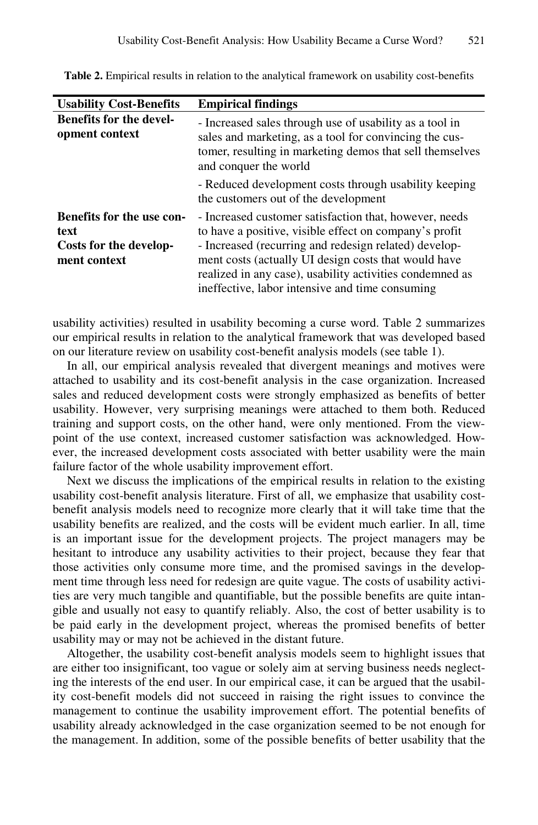| <b>Usability Cost-Benefits</b>                                                     | <b>Empirical findings</b>                                                                                                                                                                                                                                                                                                                        |
|------------------------------------------------------------------------------------|--------------------------------------------------------------------------------------------------------------------------------------------------------------------------------------------------------------------------------------------------------------------------------------------------------------------------------------------------|
| <b>Benefits for the devel-</b><br>opment context                                   | - Increased sales through use of usability as a tool in<br>sales and marketing, as a tool for convincing the cus-<br>tomer, resulting in marketing demos that sell themselves<br>and conquer the world                                                                                                                                           |
|                                                                                    | - Reduced development costs through usability keeping<br>the customers out of the development                                                                                                                                                                                                                                                    |
| <b>Benefits for the use con-</b><br>text<br>Costs for the develop-<br>ment context | - Increased customer satisfaction that, however, needs<br>to have a positive, visible effect on company's profit<br>- Increased (recurring and redesign related) develop-<br>ment costs (actually UI design costs that would have<br>realized in any case), usability activities condemned as<br>ineffective, labor intensive and time consuming |

**Table 2.** Empirical results in relation to the analytical framework on usability cost-benefits

usability activities) resulted in usability becoming a curse word. Table 2 summarizes our empirical results in relation to the analytical framework that was developed based on our literature review on usability cost-benefit analysis models (see table 1).

In all, our empirical analysis revealed that divergent meanings and motives were attached to usability and its cost-benefit analysis in the case organization. Increased sales and reduced development costs were strongly emphasized as benefits of better usability. However, very surprising meanings were attached to them both. Reduced training and support costs, on the other hand, were only mentioned. From the viewpoint of the use context, increased customer satisfaction was acknowledged. However, the increased development costs associated with better usability were the main failure factor of the whole usability improvement effort.

Next we discuss the implications of the empirical results in relation to the existing usability cost-benefit analysis literature. First of all, we emphasize that usability costbenefit analysis models need to recognize more clearly that it will take time that the usability benefits are realized, and the costs will be evident much earlier. In all, time is an important issue for the development projects. The project managers may be hesitant to introduce any usability activities to their project, because they fear that those activities only consume more time, and the promised savings in the development time through less need for redesign are quite vague. The costs of usability activities are very much tangible and quantifiable, but the possible benefits are quite intangible and usually not easy to quantify reliably. Also, the cost of better usability is to be paid early in the development project, whereas the promised benefits of better usability may or may not be achieved in the distant future.

Altogether, the usability cost-benefit analysis models seem to highlight issues that are either too insignificant, too vague or solely aim at serving business needs neglecting the interests of the end user. In our empirical case, it can be argued that the usability cost-benefit models did not succeed in raising the right issues to convince the management to continue the usability improvement effort. The potential benefits of usability already acknowledged in the case organization seemed to be not enough for the management. In addition, some of the possible benefits of better usability that the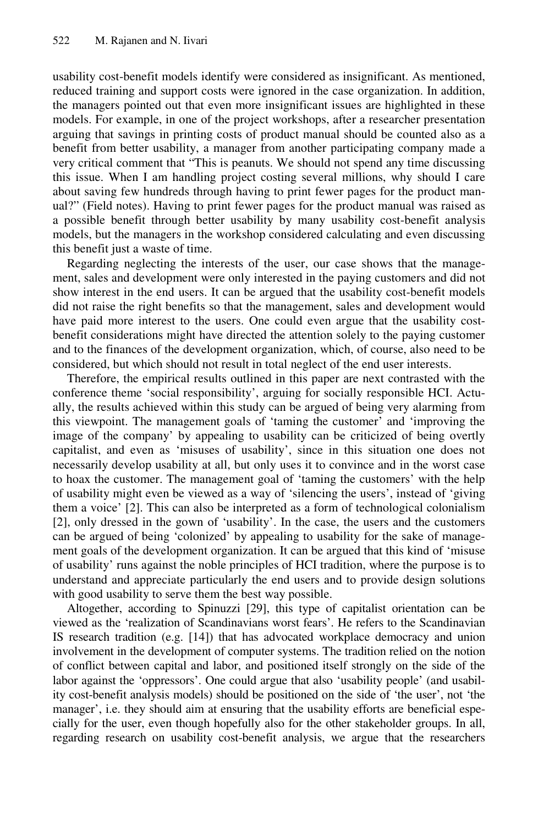usability cost-benefit models identify were considered as insignificant. As mentioned, reduced training and support costs were ignored in the case organization. In addition, the managers pointed out that even more insignificant issues are highlighted in these models. For example, in one of the project workshops, after a researcher presentation arguing that savings in printing costs of product manual should be counted also as a benefit from better usability, a manager from another participating company made a very critical comment that "This is peanuts. We should not spend any time discussing this issue. When I am handling project costing several millions, why should I care about saving few hundreds through having to print fewer pages for the product manual?" (Field notes). Having to print fewer pages for the product manual was raised as a possible benefit through better usability by many usability cost-benefit analysis models, but the managers in the workshop considered calculating and even discussing this benefit just a waste of time.

Regarding neglecting the interests of the user, our case shows that the management, sales and development were only interested in the paying customers and did not show interest in the end users. It can be argued that the usability cost-benefit models did not raise the right benefits so that the management, sales and development would have paid more interest to the users. One could even argue that the usability costbenefit considerations might have directed the attention solely to the paying customer and to the finances of the development organization, which, of course, also need to be considered, but which should not result in total neglect of the end user interests.

Therefore, the empirical results outlined in this paper are next contrasted with the conference theme 'social responsibility', arguing for socially responsible HCI. Actually, the results achieved within this study can be argued of being very alarming from this viewpoint. The management goals of 'taming the customer' and 'improving the image of the company' by appealing to usability can be criticized of being overtly capitalist, and even as 'misuses of usability', since in this situation one does not necessarily develop usability at all, but only uses it to convince and in the worst case to hoax the customer. The management goal of 'taming the customers' with the help of usability might even be viewed as a way of 'silencing the users', instead of 'giving them a voice' [2]. This can also be interpreted as a form of technological colonialism [2], only dressed in the gown of 'usability'. In the case, the users and the customers can be argued of being 'colonized' by appealing to usability for the sake of management goals of the development organization. It can be argued that this kind of 'misuse of usability' runs against the noble principles of HCI tradition, where the purpose is to understand and appreciate particularly the end users and to provide design solutions with good usability to serve them the best way possible.

Altogether, according to Spinuzzi [29], this type of capitalist orientation can be viewed as the 'realization of Scandinavians worst fears'. He refers to the Scandinavian IS research tradition (e.g. [14]) that has advocated workplace democracy and union involvement in the development of computer systems. The tradition relied on the notion of conflict between capital and labor, and positioned itself strongly on the side of the labor against the 'oppressors'. One could argue that also 'usability people' (and usability cost-benefit analysis models) should be positioned on the side of 'the user', not 'the manager', i.e. they should aim at ensuring that the usability efforts are beneficial especially for the user, even though hopefully also for the other stakeholder groups. In all, regarding research on usability cost-benefit analysis, we argue that the researchers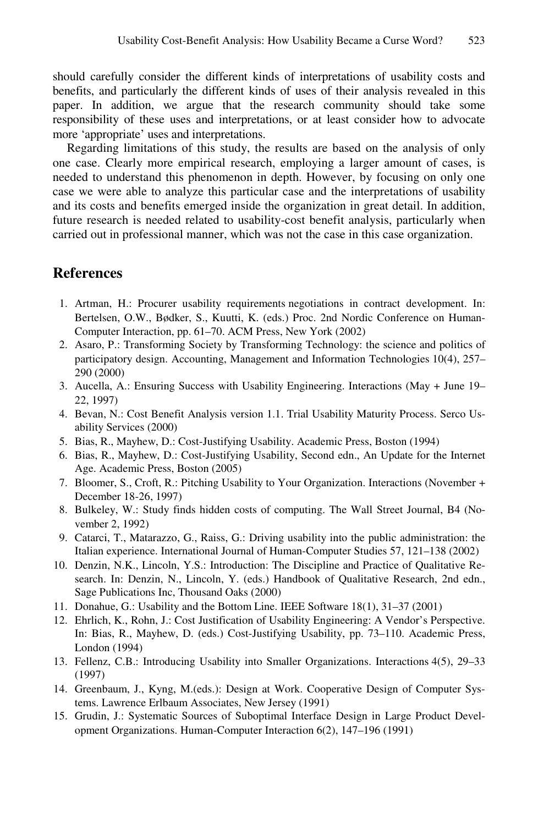should carefully consider the different kinds of interpretations of usability costs and benefits, and particularly the different kinds of uses of their analysis revealed in this paper. In addition, we argue that the research community should take some responsibility of these uses and interpretations, or at least consider how to advocate more 'appropriate' uses and interpretations.

Regarding limitations of this study, the results are based on the analysis of only one case. Clearly more empirical research, employing a larger amount of cases, is needed to understand this phenomenon in depth. However, by focusing on only one case we were able to analyze this particular case and the interpretations of usability and its costs and benefits emerged inside the organization in great detail. In addition, future research is needed related to usability-cost benefit analysis, particularly when carried out in professional manner, which was not the case in this case organization.

### **References**

- 1. Artman, H.: Procurer usability requirements negotiations in contract development. In: Bertelsen, O.W., Bødker, S., Kuutti, K. (eds.) Proc. 2nd Nordic Conference on Human-Computer Interaction, pp. 61–70. ACM Press, New York (2002)
- 2. Asaro, P.: Transforming Society by Transforming Technology: the science and politics of participatory design. Accounting, Management and Information Technologies 10(4), 257– 290 (2000)
- 3. Aucella, A.: Ensuring Success with Usability Engineering. Interactions (May + June 19– 22, 1997)
- 4. Bevan, N.: Cost Benefit Analysis version 1.1. Trial Usability Maturity Process. Serco Usability Services (2000)
- 5. Bias, R., Mayhew, D.: Cost-Justifying Usability. Academic Press, Boston (1994)
- 6. Bias, R., Mayhew, D.: Cost-Justifying Usability, Second edn., An Update for the Internet Age. Academic Press, Boston (2005)
- 7. Bloomer, S., Croft, R.: Pitching Usability to Your Organization. Interactions (November + December 18-26, 1997)
- 8. Bulkeley, W.: Study finds hidden costs of computing. The Wall Street Journal, B4 (November 2, 1992)
- 9. Catarci, T., Matarazzo, G., Raiss, G.: Driving usability into the public administration: the Italian experience. International Journal of Human-Computer Studies 57, 121–138 (2002)
- 10. Denzin, N.K., Lincoln, Y.S.: Introduction: The Discipline and Practice of Qualitative Research. In: Denzin, N., Lincoln, Y. (eds.) Handbook of Qualitative Research, 2nd edn., Sage Publications Inc, Thousand Oaks (2000)
- 11. Donahue, G.: Usability and the Bottom Line. IEEE Software 18(1), 31–37 (2001)
- 12. Ehrlich, K., Rohn, J.: Cost Justification of Usability Engineering: A Vendor's Perspective. In: Bias, R., Mayhew, D. (eds.) Cost-Justifying Usability, pp. 73–110. Academic Press, London (1994)
- 13. Fellenz, C.B.: Introducing Usability into Smaller Organizations. Interactions 4(5), 29–33 (1997)
- 14. Greenbaum, J., Kyng, M.(eds.): Design at Work. Cooperative Design of Computer Systems. Lawrence Erlbaum Associates, New Jersey (1991)
- 15. Grudin, J.: Systematic Sources of Suboptimal Interface Design in Large Product Development Organizations. Human-Computer Interaction 6(2), 147–196 (1991)